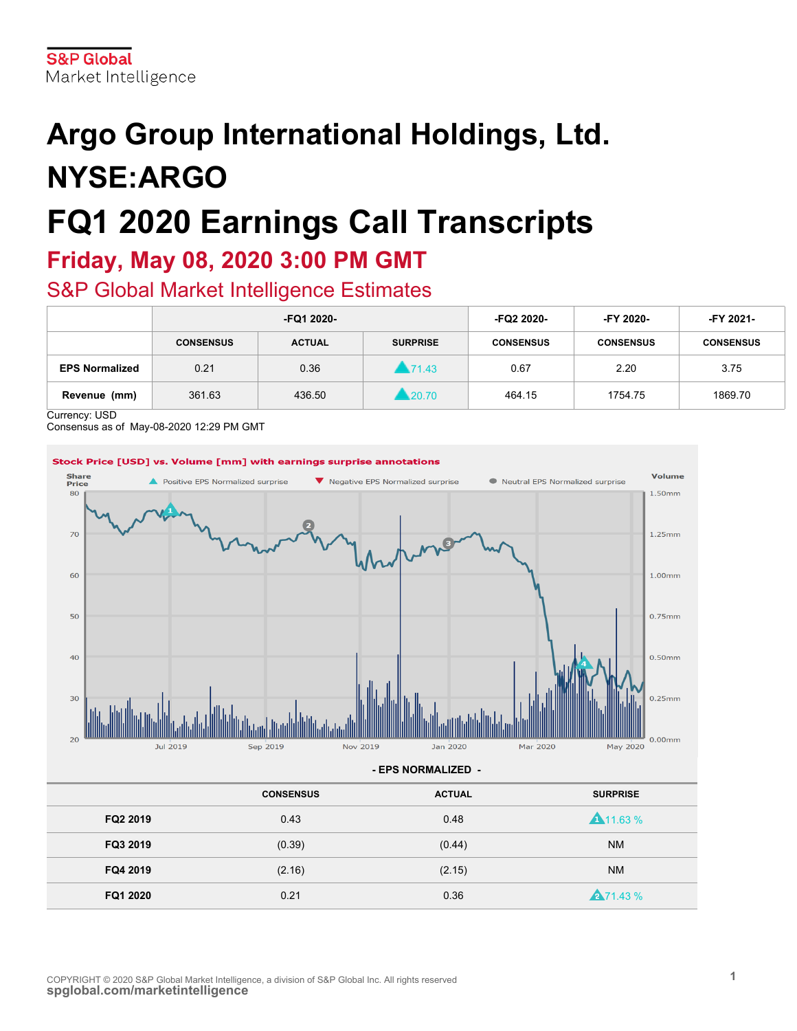# **Argo Group International Holdings, Ltd. NYSE:ARGO FQ1 2020 Earnings Call Transcripts**

# **Friday, May 08, 2020 3:00 PM GMT**

# S&P Global Market Intelligence Estimates

|                       | -FQ1 2020-       |               | -FQ2 2020-      | -FY 2020-        | <b>FY 2021-</b>  |                  |
|-----------------------|------------------|---------------|-----------------|------------------|------------------|------------------|
|                       | <b>CONSENSUS</b> | <b>ACTUAL</b> | <b>SURPRISE</b> | <b>CONSENSUS</b> | <b>CONSENSUS</b> | <b>CONSENSUS</b> |
| <b>EPS Normalized</b> | 0.21             | 0.36          | 171.43          | 0.67             | 2.20             | 3.75             |
| Revenue (mm)          | 361.63           | 436.50        | 1.20.70         | 464.15           | 1754.75          | 1869.70          |

Currency: USD

Consensus as of May-08-2020 12:29 PM GMT

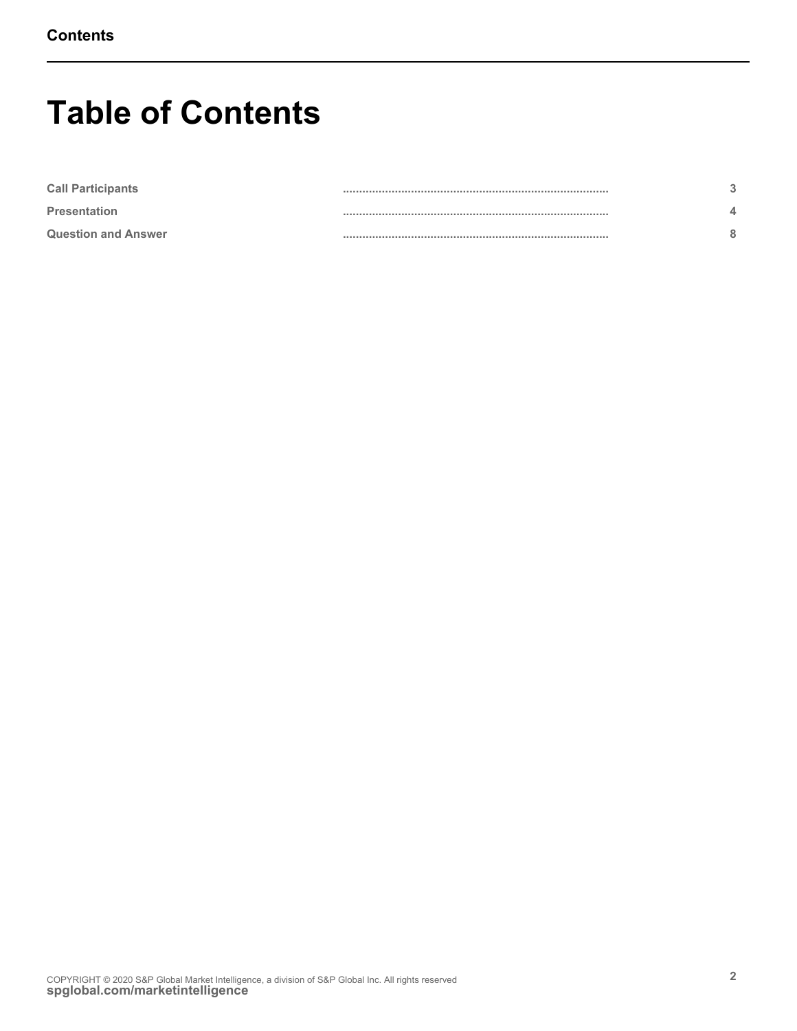# **Table of Contents**

| <b>Call Participants</b>   |  |
|----------------------------|--|
| <b>Presentation</b>        |  |
| <b>Question and Answer</b> |  |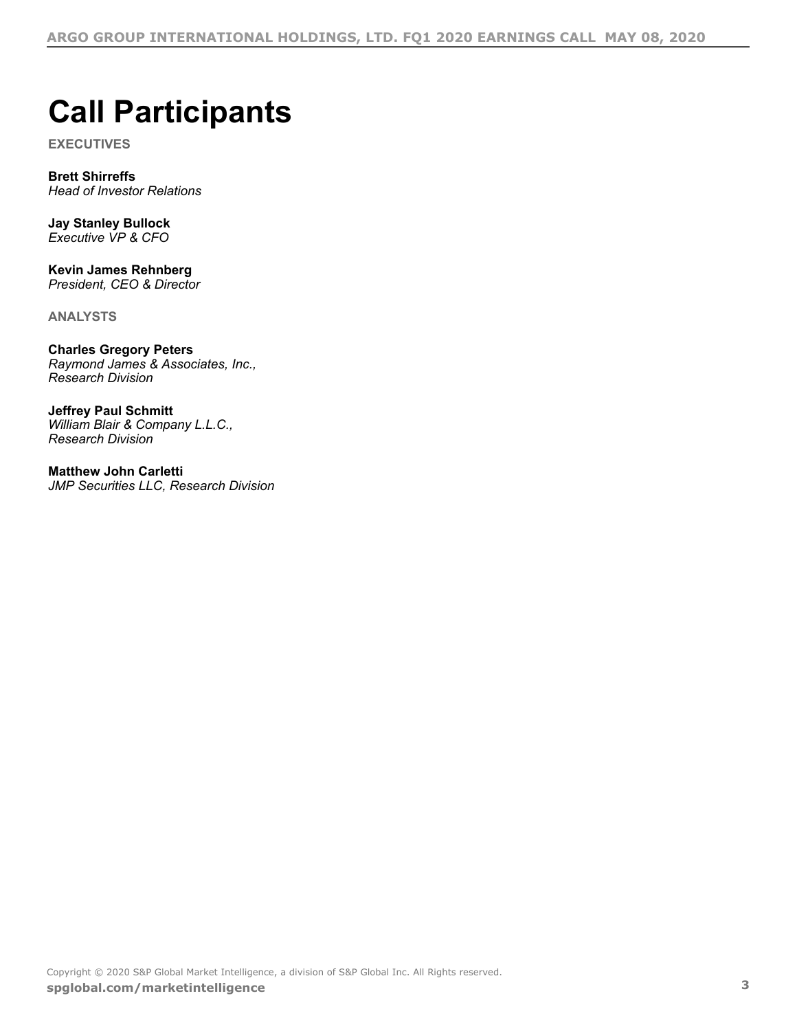# <span id="page-2-0"></span>**Call Participants**

**EXECUTIVES**

**Brett Shirreffs** *Head of Investor Relations*

**Jay Stanley Bullock** *Executive VP & CFO*

**Kevin James Rehnberg** *President, CEO & Director*

**ANALYSTS**

**Charles Gregory Peters** *Raymond James & Associates, Inc., Research Division*

**Jeffrey Paul Schmitt** *William Blair & Company L.L.C., Research Division*

**Matthew John Carletti** *JMP Securities LLC, Research Division*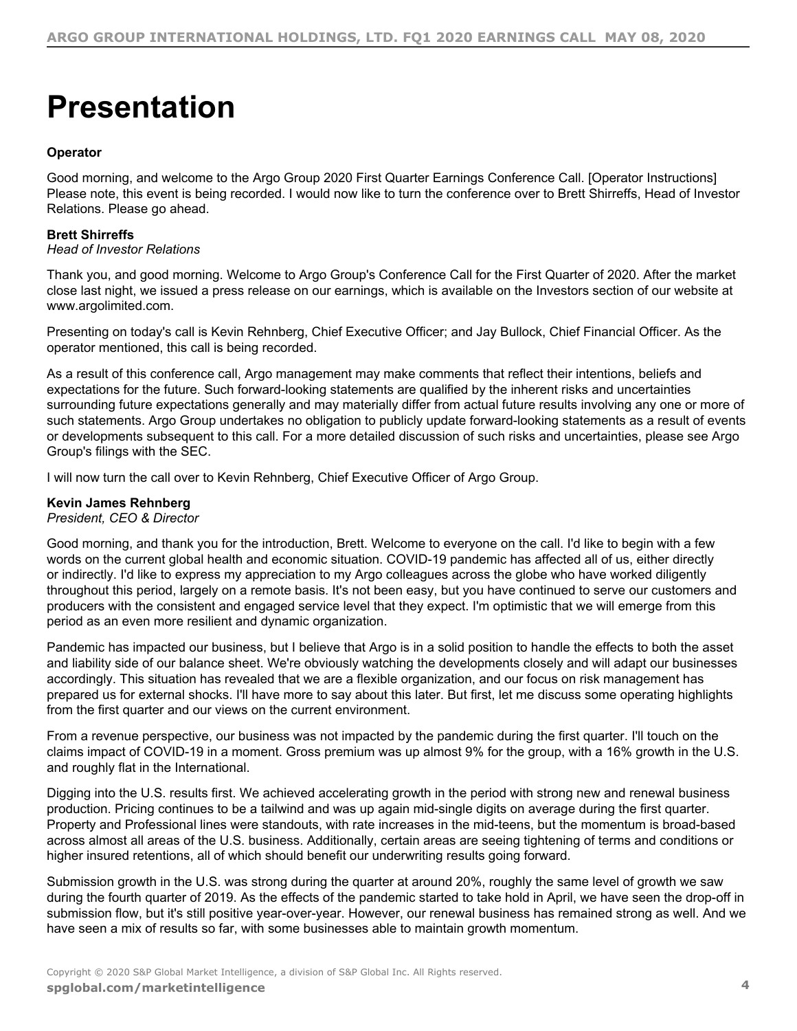# <span id="page-3-0"></span>**Presentation**

# **Operator**

Good morning, and welcome to the Argo Group 2020 First Quarter Earnings Conference Call. [Operator Instructions] Please note, this event is being recorded. I would now like to turn the conference over to Brett Shirreffs, Head of Investor Relations. Please go ahead.

# **Brett Shirreffs**

*Head of Investor Relations*

Thank you, and good morning. Welcome to Argo Group's Conference Call for the First Quarter of 2020. After the market close last night, we issued a press release on our earnings, which is available on the Investors section of our website at www.argolimited.com.

Presenting on today's call is Kevin Rehnberg, Chief Executive Officer; and Jay Bullock, Chief Financial Officer. As the operator mentioned, this call is being recorded.

As a result of this conference call, Argo management may make comments that reflect their intentions, beliefs and expectations for the future. Such forward-looking statements are qualified by the inherent risks and uncertainties surrounding future expectations generally and may materially differ from actual future results involving any one or more of such statements. Argo Group undertakes no obligation to publicly update forward-looking statements as a result of events or developments subsequent to this call. For a more detailed discussion of such risks and uncertainties, please see Argo Group's filings with the SEC.

I will now turn the call over to Kevin Rehnberg, Chief Executive Officer of Argo Group.

# **Kevin James Rehnberg**

*President, CEO & Director*

Good morning, and thank you for the introduction, Brett. Welcome to everyone on the call. I'd like to begin with a few words on the current global health and economic situation. COVID-19 pandemic has affected all of us, either directly or indirectly. I'd like to express my appreciation to my Argo colleagues across the globe who have worked diligently throughout this period, largely on a remote basis. It's not been easy, but you have continued to serve our customers and producers with the consistent and engaged service level that they expect. I'm optimistic that we will emerge from this period as an even more resilient and dynamic organization.

Pandemic has impacted our business, but I believe that Argo is in a solid position to handle the effects to both the asset and liability side of our balance sheet. We're obviously watching the developments closely and will adapt our businesses accordingly. This situation has revealed that we are a flexible organization, and our focus on risk management has prepared us for external shocks. I'll have more to say about this later. But first, let me discuss some operating highlights from the first quarter and our views on the current environment.

From a revenue perspective, our business was not impacted by the pandemic during the first quarter. I'll touch on the claims impact of COVID-19 in a moment. Gross premium was up almost 9% for the group, with a 16% growth in the U.S. and roughly flat in the International.

Digging into the U.S. results first. We achieved accelerating growth in the period with strong new and renewal business production. Pricing continues to be a tailwind and was up again mid-single digits on average during the first quarter. Property and Professional lines were standouts, with rate increases in the mid-teens, but the momentum is broad-based across almost all areas of the U.S. business. Additionally, certain areas are seeing tightening of terms and conditions or higher insured retentions, all of which should benefit our underwriting results going forward.

Submission growth in the U.S. was strong during the quarter at around 20%, roughly the same level of growth we saw during the fourth quarter of 2019. As the effects of the pandemic started to take hold in April, we have seen the drop-off in submission flow, but it's still positive year-over-year. However, our renewal business has remained strong as well. And we have seen a mix of results so far, with some businesses able to maintain growth momentum.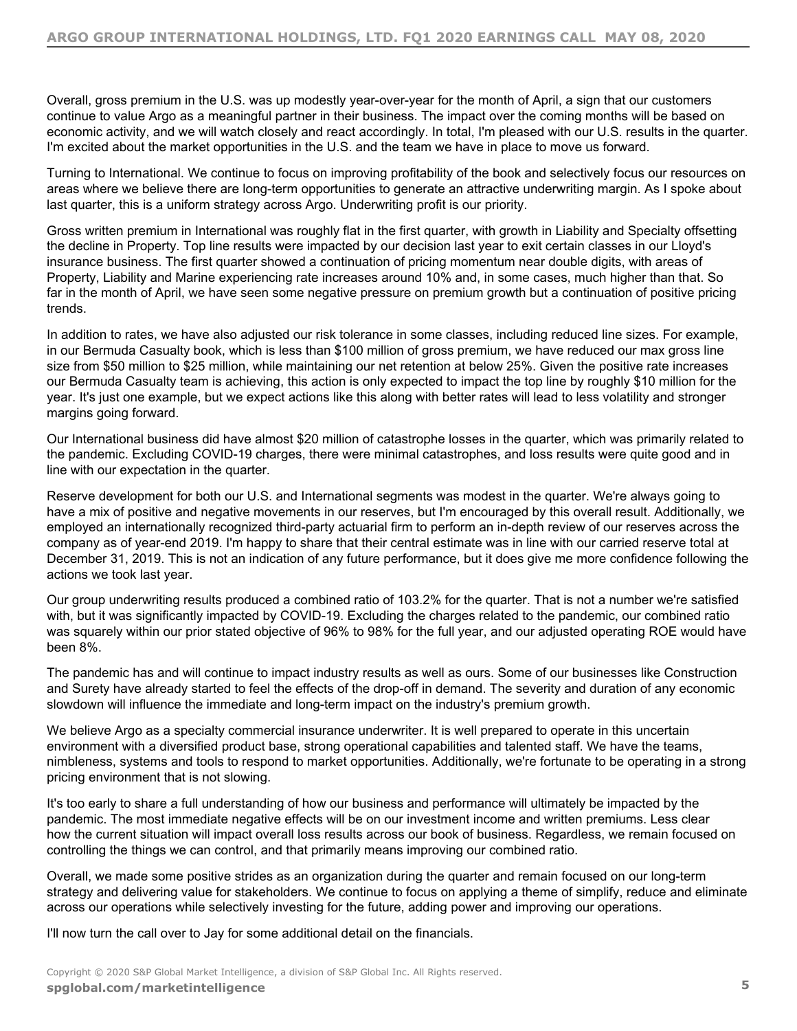Overall, gross premium in the U.S. was up modestly year-over-year for the month of April, a sign that our customers continue to value Argo as a meaningful partner in their business. The impact over the coming months will be based on economic activity, and we will watch closely and react accordingly. In total, I'm pleased with our U.S. results in the quarter. I'm excited about the market opportunities in the U.S. and the team we have in place to move us forward.

Turning to International. We continue to focus on improving profitability of the book and selectively focus our resources on areas where we believe there are long-term opportunities to generate an attractive underwriting margin. As I spoke about last quarter, this is a uniform strategy across Argo. Underwriting profit is our priority.

Gross written premium in International was roughly flat in the first quarter, with growth in Liability and Specialty offsetting the decline in Property. Top line results were impacted by our decision last year to exit certain classes in our Lloyd's insurance business. The first quarter showed a continuation of pricing momentum near double digits, with areas of Property, Liability and Marine experiencing rate increases around 10% and, in some cases, much higher than that. So far in the month of April, we have seen some negative pressure on premium growth but a continuation of positive pricing trends.

In addition to rates, we have also adjusted our risk tolerance in some classes, including reduced line sizes. For example, in our Bermuda Casualty book, which is less than \$100 million of gross premium, we have reduced our max gross line size from \$50 million to \$25 million, while maintaining our net retention at below 25%. Given the positive rate increases our Bermuda Casualty team is achieving, this action is only expected to impact the top line by roughly \$10 million for the year. It's just one example, but we expect actions like this along with better rates will lead to less volatility and stronger margins going forward.

Our International business did have almost \$20 million of catastrophe losses in the quarter, which was primarily related to the pandemic. Excluding COVID-19 charges, there were minimal catastrophes, and loss results were quite good and in line with our expectation in the quarter.

Reserve development for both our U.S. and International segments was modest in the quarter. We're always going to have a mix of positive and negative movements in our reserves, but I'm encouraged by this overall result. Additionally, we employed an internationally recognized third-party actuarial firm to perform an in-depth review of our reserves across the company as of year-end 2019. I'm happy to share that their central estimate was in line with our carried reserve total at December 31, 2019. This is not an indication of any future performance, but it does give me more confidence following the actions we took last year.

Our group underwriting results produced a combined ratio of 103.2% for the quarter. That is not a number we're satisfied with, but it was significantly impacted by COVID-19. Excluding the charges related to the pandemic, our combined ratio was squarely within our prior stated objective of 96% to 98% for the full year, and our adjusted operating ROE would have been 8%.

The pandemic has and will continue to impact industry results as well as ours. Some of our businesses like Construction and Surety have already started to feel the effects of the drop-off in demand. The severity and duration of any economic slowdown will influence the immediate and long-term impact on the industry's premium growth.

We believe Argo as a specialty commercial insurance underwriter. It is well prepared to operate in this uncertain environment with a diversified product base, strong operational capabilities and talented staff. We have the teams, nimbleness, systems and tools to respond to market opportunities. Additionally, we're fortunate to be operating in a strong pricing environment that is not slowing.

It's too early to share a full understanding of how our business and performance will ultimately be impacted by the pandemic. The most immediate negative effects will be on our investment income and written premiums. Less clear how the current situation will impact overall loss results across our book of business. Regardless, we remain focused on controlling the things we can control, and that primarily means improving our combined ratio.

Overall, we made some positive strides as an organization during the quarter and remain focused on our long-term strategy and delivering value for stakeholders. We continue to focus on applying a theme of simplify, reduce and eliminate across our operations while selectively investing for the future, adding power and improving our operations.

I'll now turn the call over to Jay for some additional detail on the financials.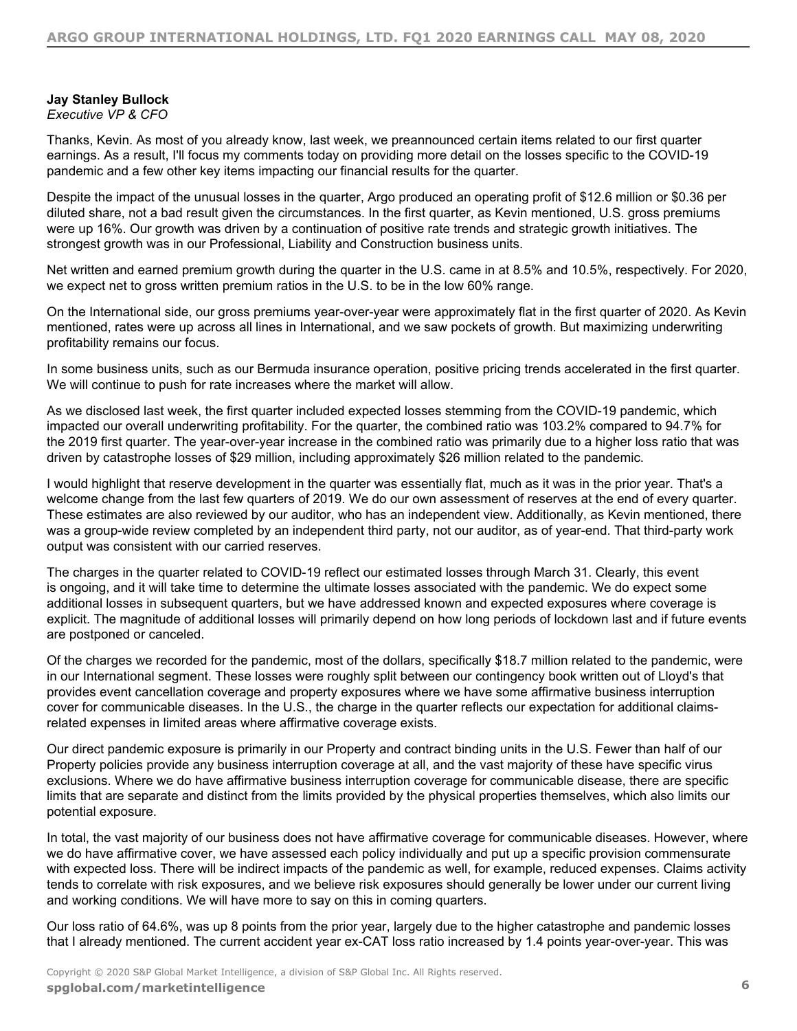# **Jay Stanley Bullock**

*Executive VP & CFO*

Thanks, Kevin. As most of you already know, last week, we preannounced certain items related to our first quarter earnings. As a result, I'll focus my comments today on providing more detail on the losses specific to the COVID-19 pandemic and a few other key items impacting our financial results for the quarter.

Despite the impact of the unusual losses in the quarter, Argo produced an operating profit of \$12.6 million or \$0.36 per diluted share, not a bad result given the circumstances. In the first quarter, as Kevin mentioned, U.S. gross premiums were up 16%. Our growth was driven by a continuation of positive rate trends and strategic growth initiatives. The strongest growth was in our Professional, Liability and Construction business units.

Net written and earned premium growth during the quarter in the U.S. came in at 8.5% and 10.5%, respectively. For 2020, we expect net to gross written premium ratios in the U.S. to be in the low 60% range.

On the International side, our gross premiums year-over-year were approximately flat in the first quarter of 2020. As Kevin mentioned, rates were up across all lines in International, and we saw pockets of growth. But maximizing underwriting profitability remains our focus.

In some business units, such as our Bermuda insurance operation, positive pricing trends accelerated in the first quarter. We will continue to push for rate increases where the market will allow.

As we disclosed last week, the first quarter included expected losses stemming from the COVID-19 pandemic, which impacted our overall underwriting profitability. For the quarter, the combined ratio was 103.2% compared to 94.7% for the 2019 first quarter. The year-over-year increase in the combined ratio was primarily due to a higher loss ratio that was driven by catastrophe losses of \$29 million, including approximately \$26 million related to the pandemic.

I would highlight that reserve development in the quarter was essentially flat, much as it was in the prior year. That's a welcome change from the last few quarters of 2019. We do our own assessment of reserves at the end of every quarter. These estimates are also reviewed by our auditor, who has an independent view. Additionally, as Kevin mentioned, there was a group-wide review completed by an independent third party, not our auditor, as of year-end. That third-party work output was consistent with our carried reserves.

The charges in the quarter related to COVID-19 reflect our estimated losses through March 31. Clearly, this event is ongoing, and it will take time to determine the ultimate losses associated with the pandemic. We do expect some additional losses in subsequent quarters, but we have addressed known and expected exposures where coverage is explicit. The magnitude of additional losses will primarily depend on how long periods of lockdown last and if future events are postponed or canceled.

Of the charges we recorded for the pandemic, most of the dollars, specifically \$18.7 million related to the pandemic, were in our International segment. These losses were roughly split between our contingency book written out of Lloyd's that provides event cancellation coverage and property exposures where we have some affirmative business interruption cover for communicable diseases. In the U.S., the charge in the quarter reflects our expectation for additional claimsrelated expenses in limited areas where affirmative coverage exists.

Our direct pandemic exposure is primarily in our Property and contract binding units in the U.S. Fewer than half of our Property policies provide any business interruption coverage at all, and the vast majority of these have specific virus exclusions. Where we do have affirmative business interruption coverage for communicable disease, there are specific limits that are separate and distinct from the limits provided by the physical properties themselves, which also limits our potential exposure.

In total, the vast majority of our business does not have affirmative coverage for communicable diseases. However, where we do have affirmative cover, we have assessed each policy individually and put up a specific provision commensurate with expected loss. There will be indirect impacts of the pandemic as well, for example, reduced expenses. Claims activity tends to correlate with risk exposures, and we believe risk exposures should generally be lower under our current living and working conditions. We will have more to say on this in coming quarters.

Our loss ratio of 64.6%, was up 8 points from the prior year, largely due to the higher catastrophe and pandemic losses that I already mentioned. The current accident year ex-CAT loss ratio increased by 1.4 points year-over-year. This was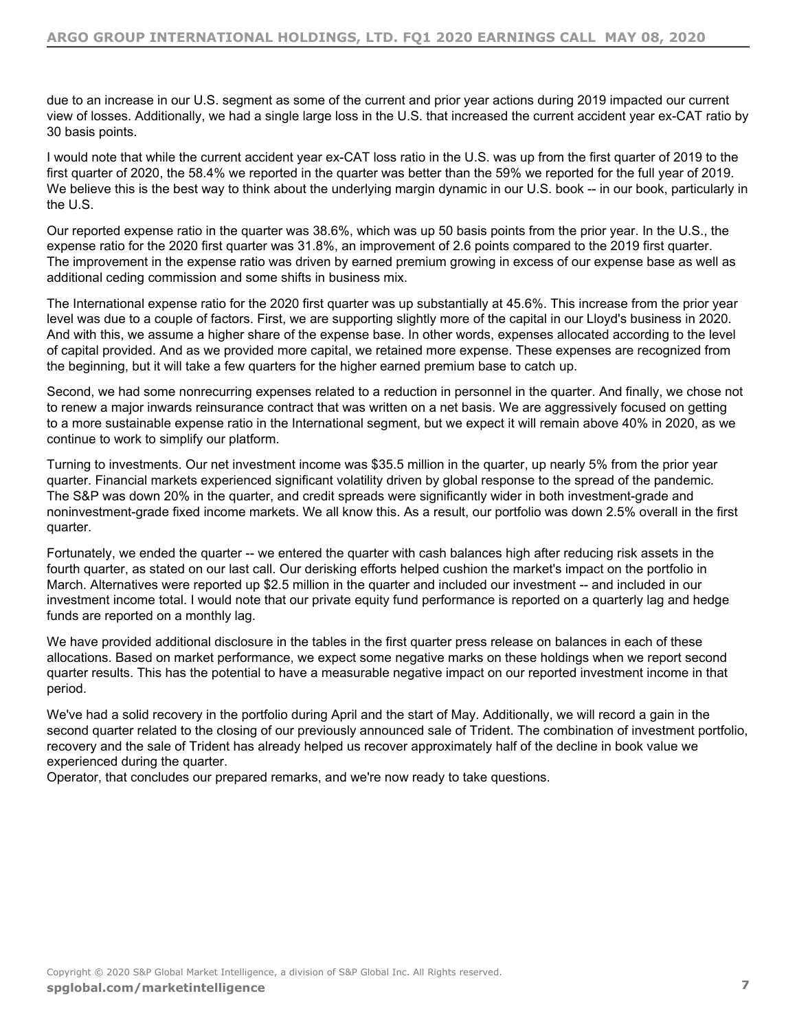due to an increase in our U.S. segment as some of the current and prior year actions during 2019 impacted our current view of losses. Additionally, we had a single large loss in the U.S. that increased the current accident year ex-CAT ratio by 30 basis points.

I would note that while the current accident year ex-CAT loss ratio in the U.S. was up from the first quarter of 2019 to the first quarter of 2020, the 58.4% we reported in the quarter was better than the 59% we reported for the full year of 2019. We believe this is the best way to think about the underlying margin dynamic in our U.S. book -- in our book, particularly in the U.S.

Our reported expense ratio in the quarter was 38.6%, which was up 50 basis points from the prior year. In the U.S., the expense ratio for the 2020 first quarter was 31.8%, an improvement of 2.6 points compared to the 2019 first quarter. The improvement in the expense ratio was driven by earned premium growing in excess of our expense base as well as additional ceding commission and some shifts in business mix.

The International expense ratio for the 2020 first quarter was up substantially at 45.6%. This increase from the prior year level was due to a couple of factors. First, we are supporting slightly more of the capital in our Lloyd's business in 2020. And with this, we assume a higher share of the expense base. In other words, expenses allocated according to the level of capital provided. And as we provided more capital, we retained more expense. These expenses are recognized from the beginning, but it will take a few quarters for the higher earned premium base to catch up.

Second, we had some nonrecurring expenses related to a reduction in personnel in the quarter. And finally, we chose not to renew a major inwards reinsurance contract that was written on a net basis. We are aggressively focused on getting to a more sustainable expense ratio in the International segment, but we expect it will remain above 40% in 2020, as we continue to work to simplify our platform.

Turning to investments. Our net investment income was \$35.5 million in the quarter, up nearly 5% from the prior year quarter. Financial markets experienced significant volatility driven by global response to the spread of the pandemic. The S&P was down 20% in the quarter, and credit spreads were significantly wider in both investment-grade and noninvestment-grade fixed income markets. We all know this. As a result, our portfolio was down 2.5% overall in the first quarter.

Fortunately, we ended the quarter -- we entered the quarter with cash balances high after reducing risk assets in the fourth quarter, as stated on our last call. Our derisking efforts helped cushion the market's impact on the portfolio in March. Alternatives were reported up \$2.5 million in the quarter and included our investment -- and included in our investment income total. I would note that our private equity fund performance is reported on a quarterly lag and hedge funds are reported on a monthly lag.

We have provided additional disclosure in the tables in the first quarter press release on balances in each of these allocations. Based on market performance, we expect some negative marks on these holdings when we report second quarter results. This has the potential to have a measurable negative impact on our reported investment income in that period.

We've had a solid recovery in the portfolio during April and the start of May. Additionally, we will record a gain in the second quarter related to the closing of our previously announced sale of Trident. The combination of investment portfolio, recovery and the sale of Trident has already helped us recover approximately half of the decline in book value we experienced during the quarter.

Operator, that concludes our prepared remarks, and we're now ready to take questions.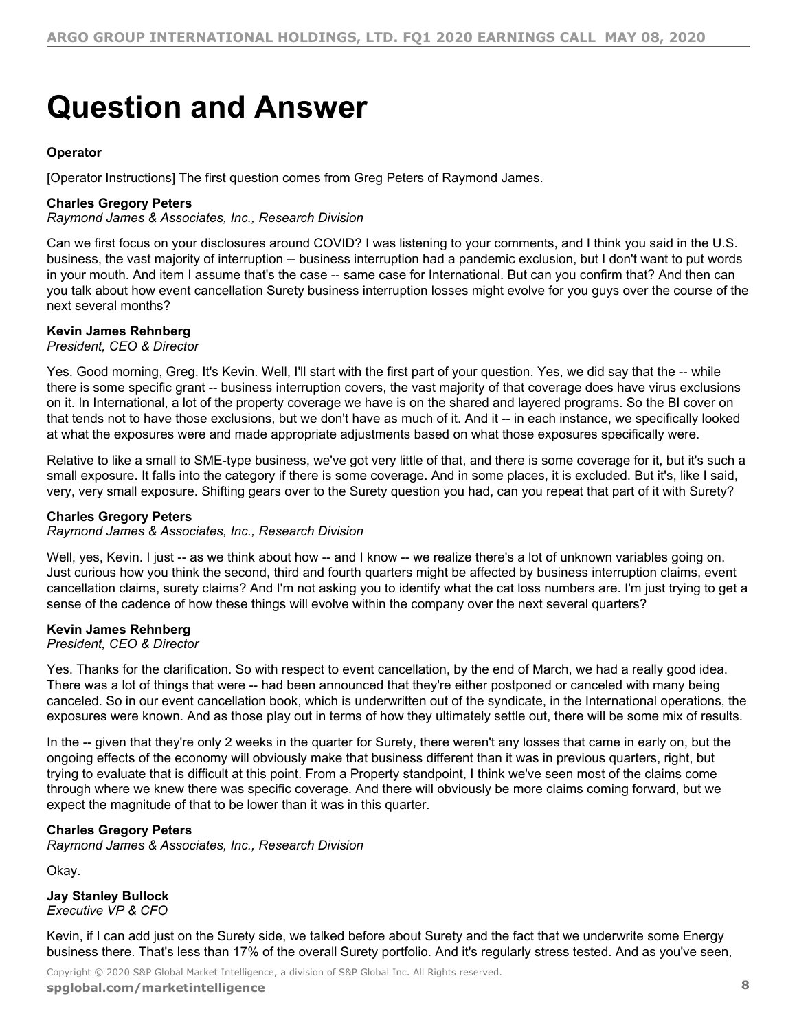# <span id="page-7-0"></span>**Question and Answer**

# **Operator**

[Operator Instructions] The first question comes from Greg Peters of Raymond James.

# **Charles Gregory Peters**

*Raymond James & Associates, Inc., Research Division*

Can we first focus on your disclosures around COVID? I was listening to your comments, and I think you said in the U.S. business, the vast majority of interruption -- business interruption had a pandemic exclusion, but I don't want to put words in your mouth. And item I assume that's the case -- same case for International. But can you confirm that? And then can you talk about how event cancellation Surety business interruption losses might evolve for you guys over the course of the next several months?

# **Kevin James Rehnberg**

*President, CEO & Director*

Yes. Good morning, Greg. It's Kevin. Well, I'll start with the first part of your question. Yes, we did say that the -- while there is some specific grant -- business interruption covers, the vast majority of that coverage does have virus exclusions on it. In International, a lot of the property coverage we have is on the shared and layered programs. So the BI cover on that tends not to have those exclusions, but we don't have as much of it. And it -- in each instance, we specifically looked at what the exposures were and made appropriate adjustments based on what those exposures specifically were.

Relative to like a small to SME-type business, we've got very little of that, and there is some coverage for it, but it's such a small exposure. It falls into the category if there is some coverage. And in some places, it is excluded. But it's, like I said, very, very small exposure. Shifting gears over to the Surety question you had, can you repeat that part of it with Surety?

# **Charles Gregory Peters**

*Raymond James & Associates, Inc., Research Division*

Well, yes, Kevin. I just -- as we think about how -- and I know -- we realize there's a lot of unknown variables going on. Just curious how you think the second, third and fourth quarters might be affected by business interruption claims, event cancellation claims, surety claims? And I'm not asking you to identify what the cat loss numbers are. I'm just trying to get a sense of the cadence of how these things will evolve within the company over the next several quarters?

# **Kevin James Rehnberg**

*President, CEO & Director*

Yes. Thanks for the clarification. So with respect to event cancellation, by the end of March, we had a really good idea. There was a lot of things that were -- had been announced that they're either postponed or canceled with many being canceled. So in our event cancellation book, which is underwritten out of the syndicate, in the International operations, the exposures were known. And as those play out in terms of how they ultimately settle out, there will be some mix of results.

In the -- given that they're only 2 weeks in the quarter for Surety, there weren't any losses that came in early on, but the ongoing effects of the economy will obviously make that business different than it was in previous quarters, right, but trying to evaluate that is difficult at this point. From a Property standpoint, I think we've seen most of the claims come through where we knew there was specific coverage. And there will obviously be more claims coming forward, but we expect the magnitude of that to be lower than it was in this quarter.

# **Charles Gregory Peters**

*Raymond James & Associates, Inc., Research Division*

Okay.

**Jay Stanley Bullock** *Executive VP & CFO*

Kevin, if I can add just on the Surety side, we talked before about Surety and the fact that we underwrite some Energy business there. That's less than 17% of the overall Surety portfolio. And it's regularly stress tested. And as you've seen,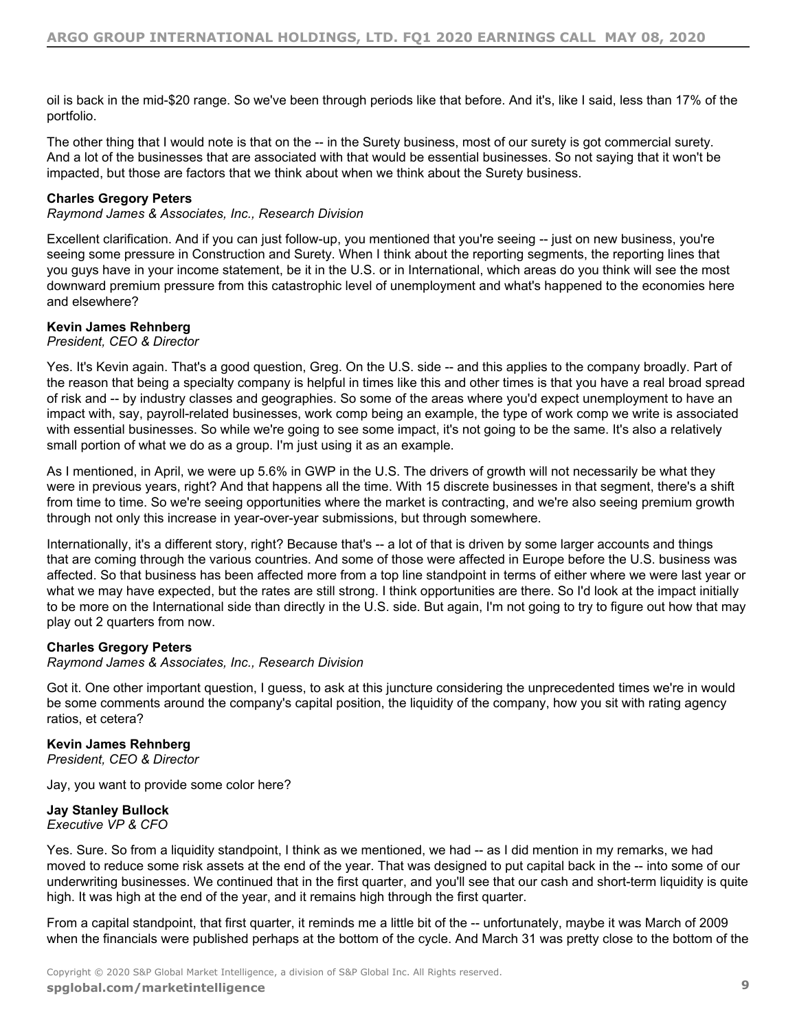oil is back in the mid-\$20 range. So we've been through periods like that before. And it's, like I said, less than 17% of the portfolio.

The other thing that I would note is that on the -- in the Surety business, most of our surety is got commercial surety. And a lot of the businesses that are associated with that would be essential businesses. So not saying that it won't be impacted, but those are factors that we think about when we think about the Surety business.

# **Charles Gregory Peters**

*Raymond James & Associates, Inc., Research Division*

Excellent clarification. And if you can just follow-up, you mentioned that you're seeing -- just on new business, you're seeing some pressure in Construction and Surety. When I think about the reporting segments, the reporting lines that you guys have in your income statement, be it in the U.S. or in International, which areas do you think will see the most downward premium pressure from this catastrophic level of unemployment and what's happened to the economies here and elsewhere?

# **Kevin James Rehnberg**

*President, CEO & Director*

Yes. It's Kevin again. That's a good question, Greg. On the U.S. side -- and this applies to the company broadly. Part of the reason that being a specialty company is helpful in times like this and other times is that you have a real broad spread of risk and -- by industry classes and geographies. So some of the areas where you'd expect unemployment to have an impact with, say, payroll-related businesses, work comp being an example, the type of work comp we write is associated with essential businesses. So while we're going to see some impact, it's not going to be the same. It's also a relatively small portion of what we do as a group. I'm just using it as an example.

As I mentioned, in April, we were up 5.6% in GWP in the U.S. The drivers of growth will not necessarily be what they were in previous years, right? And that happens all the time. With 15 discrete businesses in that segment, there's a shift from time to time. So we're seeing opportunities where the market is contracting, and we're also seeing premium growth through not only this increase in year-over-year submissions, but through somewhere.

Internationally, it's a different story, right? Because that's -- a lot of that is driven by some larger accounts and things that are coming through the various countries. And some of those were affected in Europe before the U.S. business was affected. So that business has been affected more from a top line standpoint in terms of either where we were last year or what we may have expected, but the rates are still strong. I think opportunities are there. So I'd look at the impact initially to be more on the International side than directly in the U.S. side. But again, I'm not going to try to figure out how that may play out 2 quarters from now.

# **Charles Gregory Peters**

*Raymond James & Associates, Inc., Research Division*

Got it. One other important question, I guess, to ask at this juncture considering the unprecedented times we're in would be some comments around the company's capital position, the liquidity of the company, how you sit with rating agency ratios, et cetera?

# **Kevin James Rehnberg**

*President, CEO & Director*

Jay, you want to provide some color here?

# **Jay Stanley Bullock**

*Executive VP & CFO*

Yes. Sure. So from a liquidity standpoint, I think as we mentioned, we had -- as I did mention in my remarks, we had moved to reduce some risk assets at the end of the year. That was designed to put capital back in the -- into some of our underwriting businesses. We continued that in the first quarter, and you'll see that our cash and short-term liquidity is quite high. It was high at the end of the year, and it remains high through the first quarter.

From a capital standpoint, that first quarter, it reminds me a little bit of the -- unfortunately, maybe it was March of 2009 when the financials were published perhaps at the bottom of the cycle. And March 31 was pretty close to the bottom of the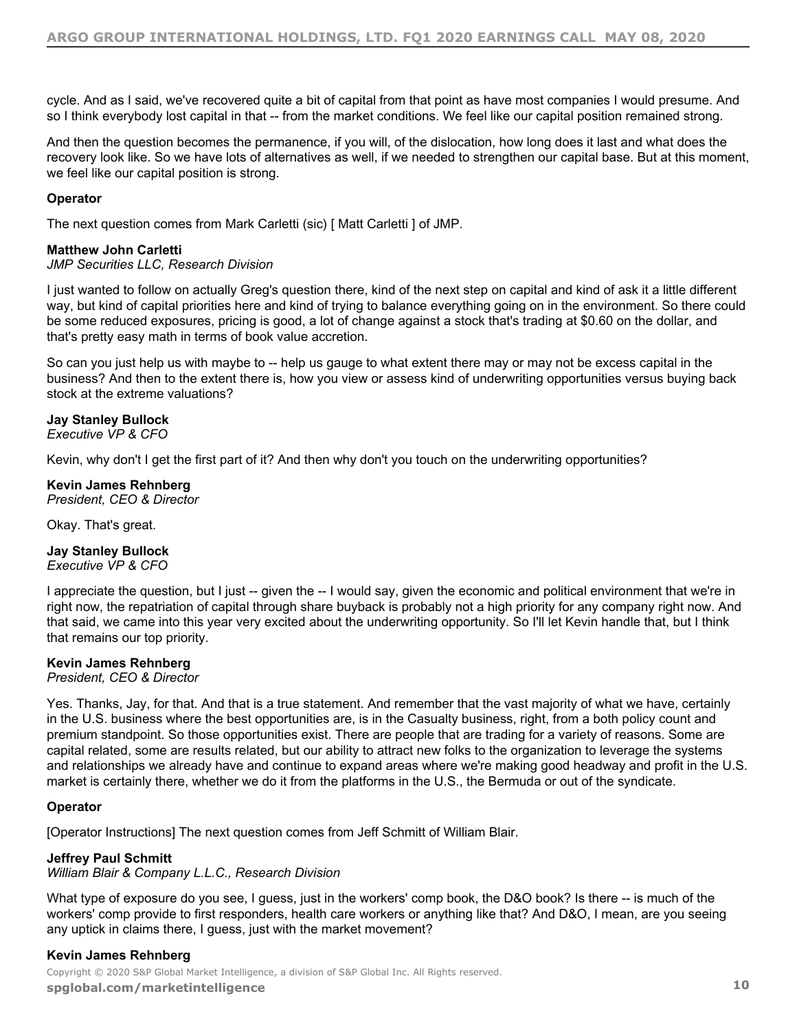cycle. And as I said, we've recovered quite a bit of capital from that point as have most companies I would presume. And so I think everybody lost capital in that -- from the market conditions. We feel like our capital position remained strong.

And then the question becomes the permanence, if you will, of the dislocation, how long does it last and what does the recovery look like. So we have lots of alternatives as well, if we needed to strengthen our capital base. But at this moment, we feel like our capital position is strong.

# **Operator**

The next question comes from Mark Carletti (sic) [ Matt Carletti ] of JMP.

# **Matthew John Carletti**

# *JMP Securities LLC, Research Division*

I just wanted to follow on actually Greg's question there, kind of the next step on capital and kind of ask it a little different way, but kind of capital priorities here and kind of trying to balance everything going on in the environment. So there could be some reduced exposures, pricing is good, a lot of change against a stock that's trading at \$0.60 on the dollar, and that's pretty easy math in terms of book value accretion.

So can you just help us with maybe to -- help us gauge to what extent there may or may not be excess capital in the business? And then to the extent there is, how you view or assess kind of underwriting opportunities versus buying back stock at the extreme valuations?

# **Jay Stanley Bullock**

*Executive VP & CFO*

Kevin, why don't I get the first part of it? And then why don't you touch on the underwriting opportunities?

# **Kevin James Rehnberg**

*President, CEO & Director*

Okay. That's great.

# **Jay Stanley Bullock**

*Executive VP & CFO*

I appreciate the question, but I just -- given the -- I would say, given the economic and political environment that we're in right now, the repatriation of capital through share buyback is probably not a high priority for any company right now. And that said, we came into this year very excited about the underwriting opportunity. So I'll let Kevin handle that, but I think that remains our top priority.

# **Kevin James Rehnberg**

*President, CEO & Director*

Yes. Thanks, Jay, for that. And that is a true statement. And remember that the vast majority of what we have, certainly in the U.S. business where the best opportunities are, is in the Casualty business, right, from a both policy count and premium standpoint. So those opportunities exist. There are people that are trading for a variety of reasons. Some are capital related, some are results related, but our ability to attract new folks to the organization to leverage the systems and relationships we already have and continue to expand areas where we're making good headway and profit in the U.S. market is certainly there, whether we do it from the platforms in the U.S., the Bermuda or out of the syndicate.

# **Operator**

[Operator Instructions] The next question comes from Jeff Schmitt of William Blair.

# **Jeffrey Paul Schmitt**

# *William Blair & Company L.L.C., Research Division*

What type of exposure do you see, I guess, just in the workers' comp book, the D&O book? Is there -- is much of the workers' comp provide to first responders, health care workers or anything like that? And D&O, I mean, are you seeing any uptick in claims there, I guess, just with the market movement?

# **Kevin James Rehnberg**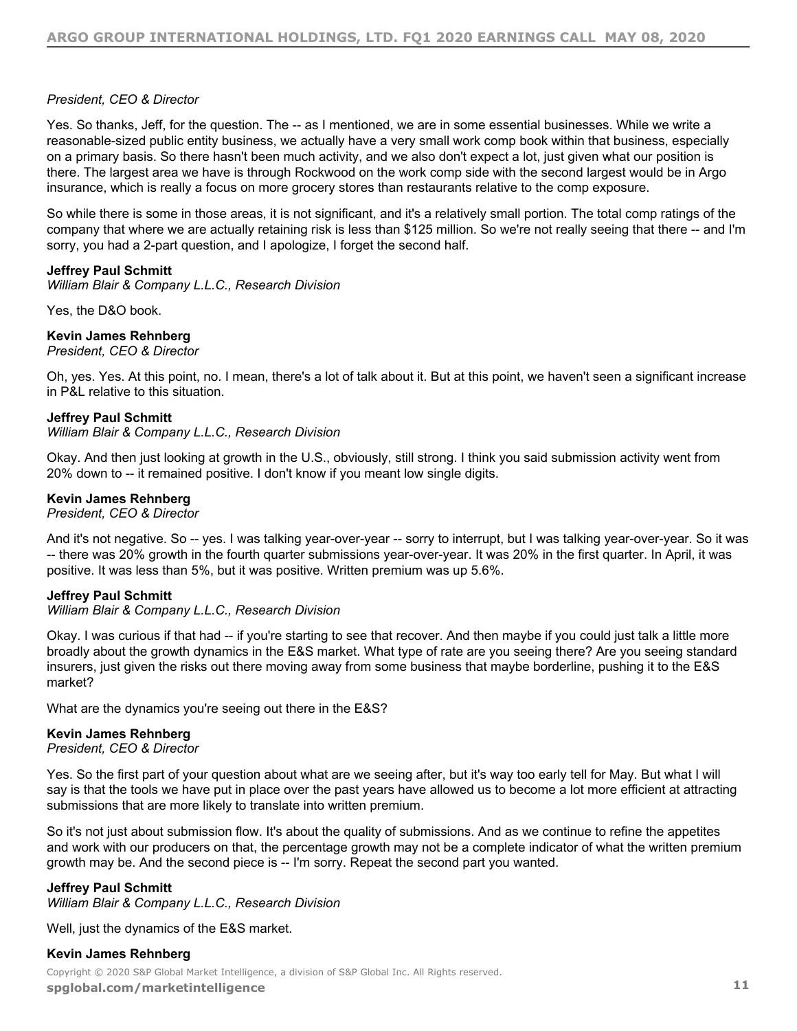# *President, CEO & Director*

Yes. So thanks, Jeff, for the question. The -- as I mentioned, we are in some essential businesses. While we write a reasonable-sized public entity business, we actually have a very small work comp book within that business, especially on a primary basis. So there hasn't been much activity, and we also don't expect a lot, just given what our position is there. The largest area we have is through Rockwood on the work comp side with the second largest would be in Argo insurance, which is really a focus on more grocery stores than restaurants relative to the comp exposure.

So while there is some in those areas, it is not significant, and it's a relatively small portion. The total comp ratings of the company that where we are actually retaining risk is less than \$125 million. So we're not really seeing that there -- and I'm sorry, you had a 2-part question, and I apologize, I forget the second half.

# **Jeffrey Paul Schmitt**

*William Blair & Company L.L.C., Research Division*

Yes, the D&O book.

# **Kevin James Rehnberg**

*President, CEO & Director*

Oh, yes. Yes. At this point, no. I mean, there's a lot of talk about it. But at this point, we haven't seen a significant increase in P&L relative to this situation.

# **Jeffrey Paul Schmitt**

#### *William Blair & Company L.L.C., Research Division*

Okay. And then just looking at growth in the U.S., obviously, still strong. I think you said submission activity went from 20% down to -- it remained positive. I don't know if you meant low single digits.

# **Kevin James Rehnberg**

*President, CEO & Director*

And it's not negative. So -- yes. I was talking year-over-year -- sorry to interrupt, but I was talking year-over-year. So it was -- there was 20% growth in the fourth quarter submissions year-over-year. It was 20% in the first quarter. In April, it was positive. It was less than 5%, but it was positive. Written premium was up 5.6%.

# **Jeffrey Paul Schmitt**

# *William Blair & Company L.L.C., Research Division*

Okay. I was curious if that had -- if you're starting to see that recover. And then maybe if you could just talk a little more broadly about the growth dynamics in the E&S market. What type of rate are you seeing there? Are you seeing standard insurers, just given the risks out there moving away from some business that maybe borderline, pushing it to the E&S market?

What are the dynamics you're seeing out there in the E&S?

# **Kevin James Rehnberg**

*President, CEO & Director*

Yes. So the first part of your question about what are we seeing after, but it's way too early tell for May. But what I will say is that the tools we have put in place over the past years have allowed us to become a lot more efficient at attracting submissions that are more likely to translate into written premium.

So it's not just about submission flow. It's about the quality of submissions. And as we continue to refine the appetites and work with our producers on that, the percentage growth may not be a complete indicator of what the written premium growth may be. And the second piece is -- I'm sorry. Repeat the second part you wanted.

# **Jeffrey Paul Schmitt**

*William Blair & Company L.L.C., Research Division*

Well, just the dynamics of the E&S market.

# **Kevin James Rehnberg**

Copyright © 2020 S&P Global Market Intelligence, a division of S&P Global Inc. All Rights reserved. **[spglobal.com/marketintelligen](https://marketintelligence.spglobal.com/)ce 11**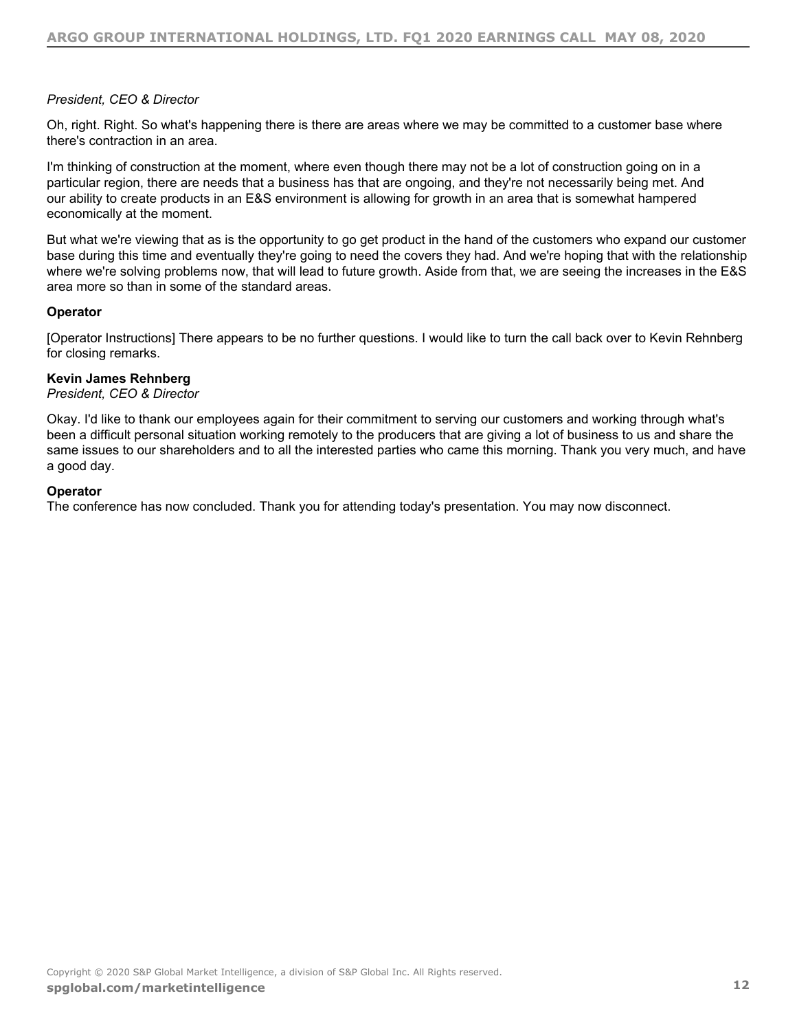# *President, CEO & Director*

Oh, right. Right. So what's happening there is there are areas where we may be committed to a customer base where there's contraction in an area.

I'm thinking of construction at the moment, where even though there may not be a lot of construction going on in a particular region, there are needs that a business has that are ongoing, and they're not necessarily being met. And our ability to create products in an E&S environment is allowing for growth in an area that is somewhat hampered economically at the moment.

But what we're viewing that as is the opportunity to go get product in the hand of the customers who expand our customer base during this time and eventually they're going to need the covers they had. And we're hoping that with the relationship where we're solving problems now, that will lead to future growth. Aside from that, we are seeing the increases in the E&S area more so than in some of the standard areas.

# **Operator**

[Operator Instructions] There appears to be no further questions. I would like to turn the call back over to Kevin Rehnberg for closing remarks.

# **Kevin James Rehnberg**

# *President, CEO & Director*

Okay. I'd like to thank our employees again for their commitment to serving our customers and working through what's been a difficult personal situation working remotely to the producers that are giving a lot of business to us and share the same issues to our shareholders and to all the interested parties who came this morning. Thank you very much, and have a good day.

# **Operator**

The conference has now concluded. Thank you for attending today's presentation. You may now disconnect.